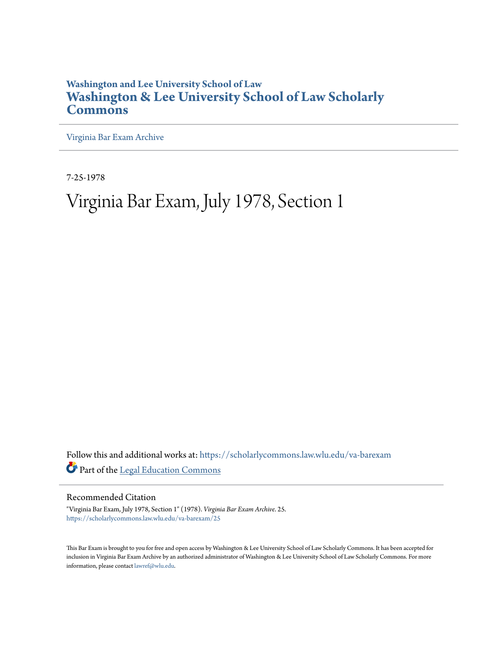## **Washington and Lee University School of Law [Washington & Lee University School of Law Scholarly](https://scholarlycommons.law.wlu.edu?utm_source=scholarlycommons.law.wlu.edu%2Fva-barexam%2F25&utm_medium=PDF&utm_campaign=PDFCoverPages) [Commons](https://scholarlycommons.law.wlu.edu?utm_source=scholarlycommons.law.wlu.edu%2Fva-barexam%2F25&utm_medium=PDF&utm_campaign=PDFCoverPages)**

[Virginia Bar Exam Archive](https://scholarlycommons.law.wlu.edu/va-barexam?utm_source=scholarlycommons.law.wlu.edu%2Fva-barexam%2F25&utm_medium=PDF&utm_campaign=PDFCoverPages)

7-25-1978

## Virginia Bar Exam, July 1978, Section 1

Follow this and additional works at: [https://scholarlycommons.law.wlu.edu/va-barexam](https://scholarlycommons.law.wlu.edu/va-barexam?utm_source=scholarlycommons.law.wlu.edu%2Fva-barexam%2F25&utm_medium=PDF&utm_campaign=PDFCoverPages) Part of the [Legal Education Commons](http://network.bepress.com/hgg/discipline/857?utm_source=scholarlycommons.law.wlu.edu%2Fva-barexam%2F25&utm_medium=PDF&utm_campaign=PDFCoverPages)

Recommended Citation

"Virginia Bar Exam, July 1978, Section 1" (1978). *Virginia Bar Exam Archive*. 25. [https://scholarlycommons.law.wlu.edu/va-barexam/25](https://scholarlycommons.law.wlu.edu/va-barexam/25?utm_source=scholarlycommons.law.wlu.edu%2Fva-barexam%2F25&utm_medium=PDF&utm_campaign=PDFCoverPages)

This Bar Exam is brought to you for free and open access by Washington & Lee University School of Law Scholarly Commons. It has been accepted for inclusion in Virginia Bar Exam Archive by an authorized administrator of Washington & Lee University School of Law Scholarly Commons. For more information, please contact [lawref@wlu.edu](mailto:lawref@wlu.edu).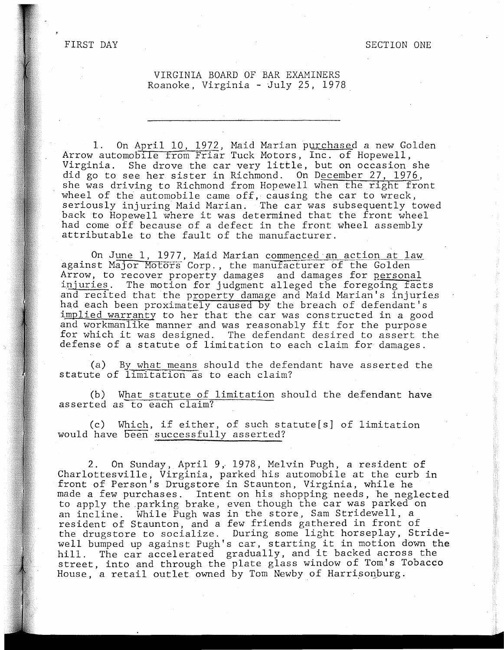FIRST DAY

## VIRGINIA BOARD OF BAR EXAMINERS Roanoke, Virginia - July 25, 1978.

1. On April 10, 1972, Maid Marian purchased a new Golden Arrow automobile from Friar Tuck Motors, Inc. of Hopewell, Virginia. She drove the car very little, but on occasion she did go to see her sister in Richmond. On December 27, 1976, she was driving to Richmond from Hopewell when the right front wheel of the automobile came off, causing the car to wreck, seriously injuring Maid Marian. The car was subsequently towed back to Hopewell where it was determined that the front wheel had come off because of a defect in the front wheel assembly attributable to the fault of the manufacturer.

On J<u>une 1</u>, 1977, Maid Marian c<u>ommenced an action at law</u> against Major Motors Corp., the manufacturer of the Golden Arrow, to recover property damages and damages for personal injuries. The motion for judgment alleged the foregoing facts and recited that the property damage and Maid Marian's injuries had each been proximately caused by the breach of defendant's implied warranty to her that the car was constructed in a good Ampled wall and y to her that the cal was constructed in a good and workmanifike manner and was reasonably lit for the purpose<br>for which it was designed. The defendant desired to assert the defense of a statute of limitation to each claim for damages.

(a) By what means should the defendant have asserted the statute of limitation as to each claim?

(b) What statute of limitation should the defendant have asserted as to each claim?

(c) Which, if either, of such statute[s] of limitation would have been successfully asserted?

2. On Sunday, April 9, 1978, Melvin Pugh, a resident of Charlottesville, Virginia, parked his automobile at the curb in front of Person's Drugstore in Staunton, Virginia, while he made a few purchases. Intent on his shopping needs, he neglected to apply the parking brake, even though the car was parked on an incline. While Pugh was in the store, Sam Stridewell, a resident of Staunton, and a few friends gathered in front of the drugstore to socialize. During some light horseplay, Stridewell bumped up against Pugh's car, starting it in motion down the<br>hill. The car accelerated gradually, and it backed across the The car accelerated gradually, and it backed across the street, into and through the plate glass window of Tom's Tobacco House, a retail outlet owned by Tom Newby of Harrisonburg.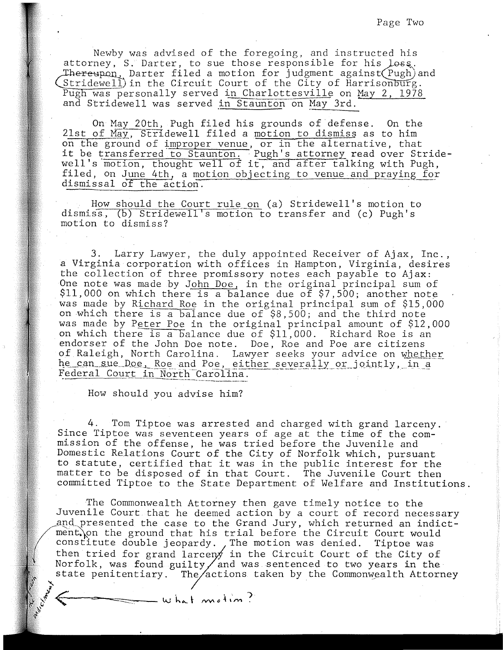Newby was advised of the foregoing, and instructed his attorney, S. Darter, to sue those responsible for his loss. hereupon, Darter filed a motion for judgment against Pugh) and  $String event$  in the Circuit Court of the City of Harrisonburg. Pugh was personally served in Charlottesville on May 2, 1978 and Stridewell was served in Staunton on May 3rd.

On May 20th, Pugh filed his grounds of defense. On the 21st of May, Stridewell filed a motion to dismiss as to him on the ground of improper venue, or in the alternative, that on the ground of <u>improper vende</u>, of in the afternative, that<br>it be transferred to Staunton. Pugh's attorney read over Stridere be thansielled to Staddfold, it, and after talking with Pugh, filed, on June 4th, a motion objecting to venue and praying for dismissal of the action.

. How should the Court rule on (a) Stridewell's motion to dismiss, (b) Stridewell's motion to transfer and (c) Pugh's motion to dismiss?

3. Larry Lawyer, the duly appointed Receiver of Ajax, Inc., a Virginia corporation with offices in Hampton, Virginia, desires the collection of three promissory notes each payable to Ajax: One note was made by John Doe, in the original principal sum of \$11,000 on which there is a balance due of \$7,500; another note was made by Richard Roe in the original principal sum of \$15,000 on which there is a balance due of \$8,500; and the third note was made by Peter Poe in the original principal amount of \$12,000 on which there is a balance due of \$11,000. Richard Roe is an endorser of the John Doe note. Doe, Roe and Poe are citizens of Raleigh, North Carolina. Lawyer seeks your advice on whether he can sue Doe, Roe and Poe, either severally or jointly, in a Federal Court in North-Carolina.

How should you advise him?

4. Tom Tiptoe was arrested and charged with grand larceny. Since Tiptoe was seventeen years of age at the time of the commission of the offense, he was tried before the Juvenile and Domestic Relations Court of the City of Norfolk which, pursuant to statute, certified that it was in the public interest for the matter to be disposed of in that Court. The Juvenile Court then committed Tiptoe to the State Department of Welfare and Institutions.

The Commonwealth Attorney then gave timely notice to the Juvenile Court that he deemed action by a court of record necessary and presented the case to the Grand Jury, which returned an indictment. on the ground that his trial before the Circuit Court would constitute double jeopardy. The motion was denied. Tiptoe was then tried for grand larcen $\cancel{y}$  in the Circuit Court of the City of Norfolk, was found guilty and was sentenced to two years in the state penitentiary. The/actions taken by the Commonwealth Attorney

what motion?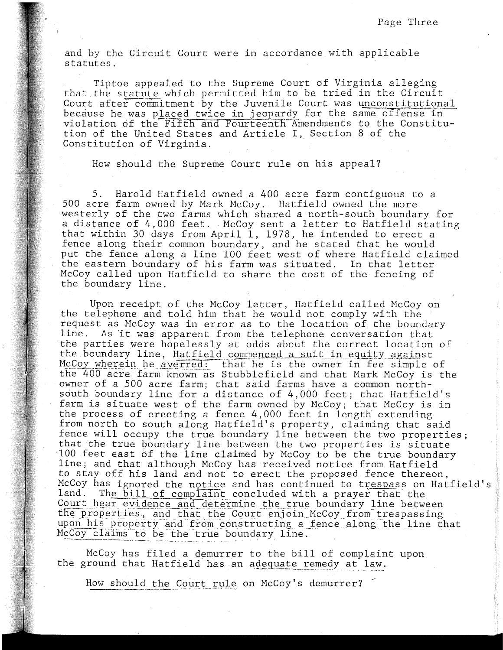and by the Circuit Court were in accordance with applicable statutes.

Tiptoe appealed to the Supreme Court of Virginia alleging that the statute which permitted him to be tried in the Circuit Court after commitment by the Juvenile Court was unconstitutional because he was placed twice in jeopardy for the same offense in violation of the Fifth and Fourteenth Amendments to the Constitution of the United States and Article I, Section 8 of the Constitution of Virginia.

How should the Supreme Court rule on his appeal?

5. Harold Hatfield owned a 400 acre farm contiguous to a 500 acre farm owned by Mark McCoy. Hatfield owned the more westerly of the two farms which shared a north-south boundary for a distance of 4,000 feet. McCoy sent a letter to Hatfield stating that within 30 days from April 1, 1978, he intended to erect a fence along their common boundary, and he stated that he would put the fence along a line 100 feet west of where Hatfield claimed the eastern boundary of his farm was situated. In that letter McCoy called upon Hatfield to share the cost of the fencing of the boundary line.

Upon receipt of the McCoy letter, Hatfield called McCoy on the telephone and told him that he would not comply with the request as McCoy was in error as to the location of the boundary line. As it was apparent from the telephone conversation that the parties were hopelessly at odds about the correct location of the boundary line, Hatfield commenced a suit in equity against McCoy wherein he averred: that he is the owner in fee simple of the 400 acre farm known as Stubblefield and that Mark McCoy is the owner of a 500 acre farm; that said farms have a common northsouth boundary line for a distance of 4,000 feet; that Hatfield's farm is situate west of the farm owned by McCoy; that McCoy is in the process of erecting a fence 4,000 feet in length extending from north to south along Hatfield's property, claiming that said fence will occupy the true boundary line between the two properties; that the true boundary line between the two properties is situate 100 feet east of the line claimed by McCoy to be the true boundary line; and that although McCoy has received notice from Hatfield to stay off his land and not to erect the proposed fence thereon, McCoy has ignored the notice and has continued to trespass on Hatfield's<br>land. The bill of complaint concluded with a prayer that the The bill of complaint concluded with a prayer that the Court hear evidence and determine the true boundary line between the properties, and that the Court enjoin McCoy from trespassing upon his property and from constructing a fence along the line that McCoy claims to be the true boundary line.

McCoy has filed a demurrer to the bill of complaint upon the ground that Hatfield has an adequate remedy at law.

How should the Court rule on McCoy's demurrer?  $\leq$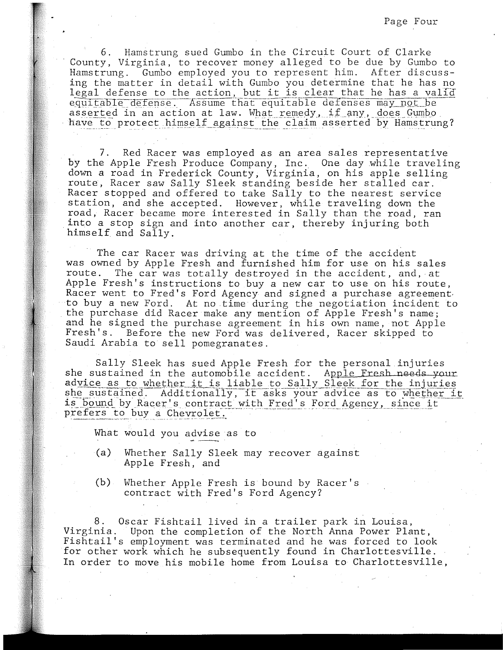6. Hamstrung sued Gumbo in the Circuit Court of Clarke County, Virginia, to recover money alleged to be due by Gumbo to Hamstrung. Gumbo employed you to represent him. After discussing the matter in detail with Gumbo you determine that he has no legal defense to the action, but it is clear that he has a valid equitable defense. Assume that equitable defenses may not be asserted in an action at law. What remedy, if any, does Gumbo<br>have to protect himself against the claim asserted by Hamstrung?

7. Red Racer was employed as an area sales representative by the Apple Fresh Produce Company, Inc. One day while traveling down a road in Frederick County, Virginia, on his apple selling route, Racer saw Sally Sleek standing beside her stalled car. Racer stopped and offered to take Sally to the nearest service station, and she accepted. However, while traveling down the road, Racer became more interested in Sally than the road, ran into a stop sign and into another car, thereby injuring both himself and Sally.

The car Racer was driving at the time of the accident was owned by Apple Fresh and furnished him for use on his sales route. The car was totally destroyed in the accident, and, at Apple Fresh's instructions to buy a new car to use on his route, Racer went to Fred's Ford Agency and signed a purchase agreement. to buy a new Ford. At no time during the negotiation incident to the purchase did Racer make any mention of Apple Fresh's name; and he signed the purchase agreement in his own name, not Apple Fresh's. Before the new Ford was delivered, Racer skipped to Saudi Arabia to sell pomegranates.

Sally Sleek has sued Apple Fresh for the personal injuries she sustained in the automobile accident. Apple Fresh needs your advice as to whether it is liable to Sally Sleek for the injuries she sustained. Additionally, it asks your advice as to whether it is bound by Racer's contract with Fred's Ford Agency, since it<br>prefers to buy a Cheyrolet prefers to buy a Chevrolet.

What would you advise as to

- (a) Whether Sally Sleek may recover against Apple Fresh, and
- (b) Whether Apple Fresh is bound by Racer's contract with Fred's Ford Agency?

8. Oscar Fishtail lived in a trailer park in Louisa, Virginia. Upon the completion of the North Anna Power Plant, Fishtail's employment was terminated and he was forced to look for other work which he subsequently found in Charlottesville. In order to move his mobile home from Louisa to Charlottesville,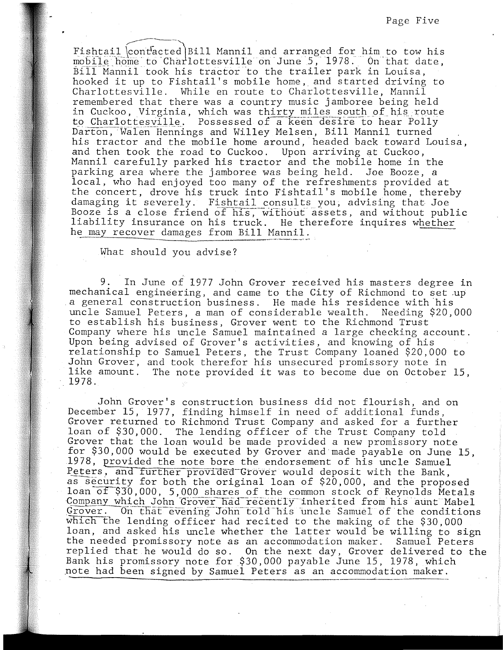Fishtail contacted Bill Mannil and arranged for him to tow his mobile home to Charlottesville on June 5, 1978. On that date, Bill Mannil took his tractor to the trailer park in Louisa, hooked it up to Fishtail's mobile home, and started driving to Charlottesville. While en route to Charlottesville, Mannil remembered that there was a country music jamboree being held in Cuckoo, Virginia, which was thirty miles south of his route to Charlottesville. Possessed of a keen desire to hear Polly Darton, Walen Hennings and Willey Melsen, Bill Mannil turned his tractor and the mobile home around, headed back toward Louisa, and then took the road to Cuckoo. Upon arriving at Cuckoo, Mannil carefully parked his tractor and the mobile home in the parking area where the jamboree was being held. Joe Booze, a local, who had enjoyed too many of the refreshments provided at the concert, drove his truck into Fishtail's mobile home, thereby damaging it severely. Fishtail consults you, advising that Joe Booze is a close friend of his, without assets, and without public liability insurance on his truck. He therefore inquires whether he may recover damages from Bill Mannil.

What should you advise?

9. In June of 1977 John Grover received his masters degree in mechanical engineering, and came to the City of Richmond to set up a general construction business. He made his residence with his uncle Samuel Peters, a man of considerable wealth. Needing \$20,000 to establish his business, Grover went to the Richmond Trust Company where his uncle Samuel maintained a large checking account. Upon being advised of Grover's activities, and knowing of his relationship to Samuel Peters, the Trust Company loaned \$20,000 to John Grover, and took therefor his unsecured promissory note in like amount. The note provided it was to become due on October 15, 1978.

John Grover's construction business did not flourish, and on December 15, 1977, finding himself in need of additional funds, Grover returned to Richmond Trust Company and asked for a further loan of \$30,000. The lending officer of the Trust Company told Grover that the loan would be made provided a new promissory note for \$30,000 would be executed by Grover and made payable on June 15, 1978, provided the note bore the endorsement of his uncle Samuel Peters, and further provided Grover would deposit with the Bank, as security for both the original loan of \$20,000, and the proposed loan of \$30,000, 5,000 shares of the common stock of Reynolds Metals Company which John Grover had recently inherited from his aunt Mabel Grover. On that evening John told his uncle Samuel of the conditions which the lending officer had recited to the making of the \$30,000 loan, and asked his uncle whether the latter would be willing to sign the needed promissory note as an accommodation maker. Samuel Peters replied that he would do so. On the next day, Grover delivered to the Bank his promissory note for \$30,000 payable June 15, 1978, which note had been signed by Samuel Peters as an accommodation maker.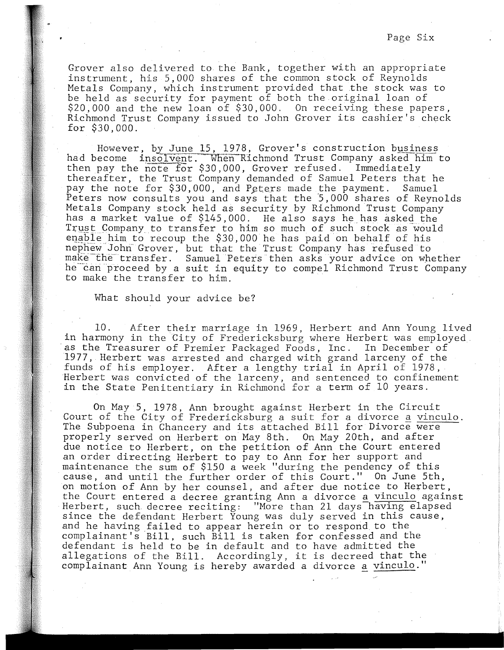Page Six

Grover also delivered to the Bank, together with an appropriate instrument, his 5,000 shares of the common stock of Reynolds Metals Company, which instrument provided that the stock was to be held as security for payment of both the original loan of \$20,000 and the new loan of \$30,000. On receiving these papers, Richmond Trust Company issued to John Grover its cashier's check for \$30,000.

However, by June 15, 1978, Grover's construction business had become insolvent. When Richmond Trust Company asked him to then pay the  $\overline{note}$  for \$30,000, Grover refused. Immediately thereafter, the Trust Company demanded of Samuel Peters that he pay the note for \$30,000, and Peters made the payment. Samuel Peters now consults you and says that the 5,000 shares of Reynolds Metals Company stock held as security by Richmond Trust Company has a market value of \$145,000. He also says he has asked the Trust Company to transfer to him so much of such stock as would enable him to recoup the \$30,000 he has paid on behalf of his nephew Johri Grover, but that the Trust Company has refused to make the transfer. Samuel Peters then asks your advice on whether he can proceed by a suit in equity to compel Richmond Trust Company to make the transfer to him.

What should your advice be?

10. After their marriage in 1969, Herbert and Ann Young lived in harmony in the City of Fredericksburg where Herbert was employed as the Treasurer of Premier Packaged Foods, Inc. In December of 1977, Herbert was arrested and charged with grand larceny of the funds of his employer. After a lengthy trial in April of 1978, Herbert was convicted of the larceny, and sentenced to confinement in the State Penitentiary in Richmond for a term of 10 years.

On May 5, 1978, Ann brought against Herbert in the Circuit Court of the City of Fredericksburg a suit for a divorce a vinculo. The Subpoena in Chancery and its attached Bill for Divorce were properly served on Herbert on May 8th. On May 20th, and after due notice to Herbert, on the petition of Ann the Court entered an order directing Herbert to pay to Ann for her support and maintenance the sum of \$150 a week "during the pendency of this cause, and until the further order of this Court." On June 5th, on motion of Ann by her counsel, and after due notice to Herbert, the Court entered a decree granting Ann a divorce a vinculo against Herbert, such decree reciting: "More than 21 days having elapsed since the defendant Herbert Young was duly served in this cause, and he having failed to appear herein or to respond to the complainant's Bill, such Bill is taken for confessed and the defendant is held to be in default and to have admitted the allegations of the Bill. Accordingly, it is decreed that the complainant Ann Young is hereby awarded a divorce a vinculo."